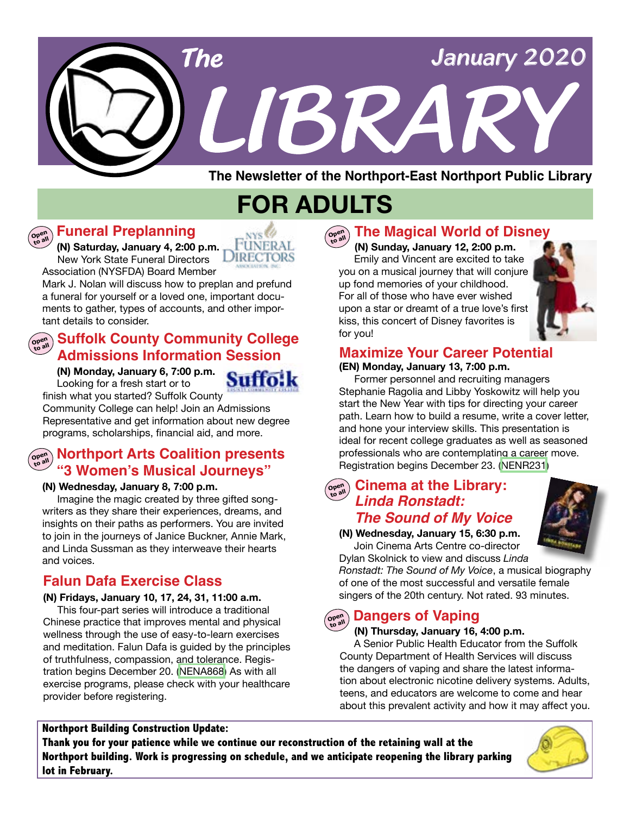# *LIBRARY LIBRARY The February 2017 January 2020 The*

**The Newsletter of the Northport-East Northport Public Library**

# **FOR ADULTS**

NYS<sup>60</sup> **FUNERAL JIRECTORS** 

Suffo

# **Funeral Preplanning**

**Open to all**

 **(N) Saturday, January 4, 2:00 p.m.** New York State Funeral Directors

Association (NYSFDA) Board Member

Mark J. Nolan will discuss how to preplan and prefund a funeral for yourself or a loved one, important documents to gather, types of accounts, and other important details to consider.

# **Suffolk County Community College Admissions Information Session**

 **(N) Monday, January 6, 7:00 p.m.**  Looking for a fresh start or to

finish what you started? Suffolk County Community College can help! Join an Admissions Representative and get information about new degree programs, scholarships, financial aid, and more.

# **open Northport Arts Coalition presents "3 Women's Musical Journeys"**

### **(N) Wednesday, January 8, 7:00 p.m.**

 Imagine the magic created by three gifted songwriters as they share their experiences, dreams, and insights on their paths as performers. You are invited to join in the journeys of Janice Buckner, Annie Mark, and Linda Sussman as they interweave their hearts and voices.

# **Falun Dafa Exercise Class**

### **(N) Fridays, January 10, 17, 24, 31, 11:00 a.m.**

This four-part series will introduce a traditional Chinese practice that improves mental and physical wellness through the use of easy-to-learn exercises and meditation. Falun Dafa is guided by the principles of truthfulness, compassion, and tolerance. Registration begins December 20. [\(NENA868\)](http://alpha2.suffolk.lib.ny.us/search/?searchtype=X&SORT=D&searcharg=nena491&searchscope=43) As with all exercise programs, please check with your healthcare provider before registering.

### **Northport Building Construction Update:**

**Thank you for your patience while we continue our reconstruction of the retaining wall at the Northport building. Work is progressing on schedule, and we anticipate reopening the library parking lot in February.**



# **Open to all The Magical World of Disney**

 **(N) Sunday, January 12, 2:00 p.m.** Emily and Vincent are excited to take you on a musical journey that will conjure up fond memories of your childhood. For all of those who have ever wished upon a star or dreamt of a true love's first kiss, this concert of Disney favorites is for you!



# **Maximize Your Career Potential**

### **(EN) Monday, January 13, 7:00 p.m.**

Former personnel and recruiting managers Stephanie Ragolia and Libby Yoskowitz will help you start the New Year with tips for directing your career path. Learn how to build a resume, write a cover letter, and hone your interview skills. This presentation is ideal for recent college graduates as well as seasoned professionals who are contemplating a career move. Registration begins December 23. [\(NENR231](https://search.livebrary.com/record=g1096117~S43))

### $\left(\text{open}\atop \text{open}\right)$ **Cinema at the Library:** *Linda Ronstadt:*

# *The Sound of My Voice*

**(N) Wednesday, January 15, 6:30 p.m.** Join Cinema Arts Centre co-director Dylan Skolnick to view and discuss *Linda* 



*Ronstadt: The Sound of My Voice*, a musical biography of one of the most successful and versatile female singers of the 20th century. Not rated. 93 minutes.

#### Open<br>to all **Dangers of Vaping**

**(N) Thursday, January 16, 4:00 p.m.** 

 A Senior Public Health Educator from the Suffolk County Department of Health Services will discuss the dangers of vaping and share the latest information about electronic nicotine delivery systems. Adults, teens, and educators are welcome to come and hear about this prevalent activity and how it may affect you.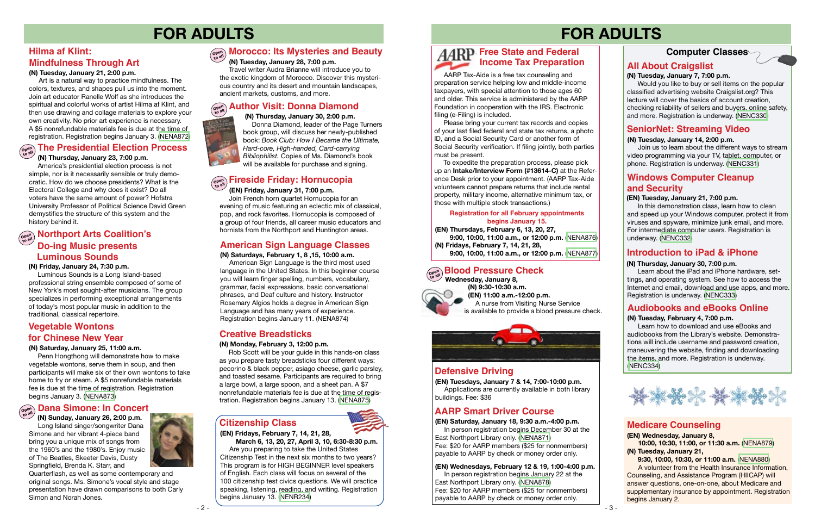# **FOR ADULTS**

### **Computer Classes**

# **FOR ADULTS**

### **(EN) Tuesday, January 21, 7:00 p.m.**

 In this demonstration class, learn how to clean and speed up your Windows computer, protect it from viruses and spyware, minimize junk email, and more. For intermediate computer users. Registration is underway. [\(NENC332\)](https://search.livebrary.com/record=g1087103~S43)

# **Audiobooks and eBooks Online**

### **(N) Tuesday, February 4, 7:00 p.m.**

Learn how to download and use eBooks and audiobooks from the Library's website. Demonstrations will include username and password creation, maneuvering the website, finding and downloading the items, and more. Registration is underway. ([NENC334](https://search.livebrary.com/record=g1087108~S43))



### **SeniorNet: Streaming Video**

### **(N) Tuesday, January 14, 2:00 p.m.**

#### **Open to all Blood Pressure Check**

Join us to learn about the different ways to stream video programming via your TV, tablet, computer, or phone. Registration is underway. [\(NENC331\)](https://search.livebrary.com/record=g1088619~S43)

# **Defensive Driving**

# **AARP Smart Driver Course**

**(EN) Tuesdays, January 7 & 14, 7:00-10:00 p.m.** 

Applications are currently available in both library buildings. Fee: \$36

### **(EN) Saturday, January 18, 9:30 a.m.-4:00 p.m.**

In person registration begins December 30 at the East Northport Library only. [\(NENA871\)](https://search.livebrary.com/record=g1096021~S43) Fee: \$20 for AARP members (\$25 for nonmembers) payable to AARP by check or money order only.

# **Open to all Fireside Friday: Hornucopia**

 **Wednesday, January 8, (N) 9:30-10:30 a.m. (EN) 11:00 a.m.-12:00 p.m.**  A nurse from Visiting Nurse Service is available to provide a blood pressure check.



### **(N) Saturday, January 25, 11:00 a.m.**

 Penn Hongthong will demonstrate how to make vegetable wontons, serve them in soup, and then participants will make six of their own wontons to take home to fry or steam. A \$5 nonrefundable materials fee is due at the time of registration. Registration begins January 3. ([NENA873\)](https://search.livebrary.com/record=g1096546~S43)

# $\begin{bmatrix} \mathbf{Cov}_{\mathbf{Cov}}^{\mathbf{Cov}} \end{bmatrix}$  Dana Simone: In Concert

# **Vegetable Wontons for Chinese New Year**

## **All About Craigslist**

### **(N) Tuesday, January 7, 7:00 p.m.**

 Would you like to buy or sell items on the popular classified advertising website Craigslist.org? This lecture will cover the basics of account creation, checking reliability of sellers and buyers, online safety, and more. Registration is underway. [\(NENC330\)](https://search.livebrary.com/record=g1087104~S43)

 **(EN) Friday, January 31, 7:00 p.m.** Join French horn quartet Hornucopia for an evening of music featuring an eclectic mix of classical, pop, and rock favorites. Hornucopia is composed of a group of four friends, all career music educators and hornists from the Northport and Huntington areas.

### **(EN) Wednesdays, February 12 & 19, 1:00-4:00 p.m.**

In person registration begins January 22 at the East Northport Library only. [\(NENA878\)](https://search.livebrary.com/record=g1096594~S43) Fee: \$20 for AARP members (\$25 for nonmembers) payable to AARP by check or money order only.

# $\begin{bmatrix} \mathbf{Cov}_{\mathbf{Cov}_{\mathbf{A}}^{\text{out}}} \\ \mathbf{Cov}_{\mathbf{A}}^{\text{out}} \end{bmatrix}$  **Northport Arts Coalition's Do-ing Music presents Luminous Sounds**

### **(EN) Wednesday, January 8, 10:00, 10:30, 11:00, or 11:30 a.m.** [\(NENA879](https://search.livebrary.com/record=g1096617~S43)) **(N) Tuesday, January 21,**

 **9:30, 10:00, 10:30, or 11:00 a.m.** [\(NENA880](https://search.livebrary.com/record=g1096620~S43))

A volunteer from the Health Insurance Information, Counseling, and Assistance Program (HIICAP) will answer questions, one-on-one, about Medicare and supplementary insurance by appointment. Registration begins January 2.

## **Medicare Counseling**

**American Sign Language Classes (Integral of the UPA)** Fridays, February 7, 14, 21, 28,<br>
(N) Saturdays, February 1, 8 ,15, 10:00 a.m. **(EN) Thursdays, February 6, 13, 20, 27, 9:00, 10:00, 11:00 a.m., or 12:00 p.m.** [\(NENA876](https://search.livebrary.com/record=g1096868~S43)) **(N) Fridays, February 7, 14, 21, 28,**

**(N) Saturdays, February 1, 8 ,15, 10:00 a.m.** American Sign Language is the third most used language in the United States. In this beginner course you will learn finger spelling, numbers, vocabulary, grammar, facial expressions, basic conversational phrases, and Deaf culture and history. Instructor Rosemary Algios holds a degree in American Sign Language and has many years of experience. Registration begins January 11. (NENA874)

AARP Tax-Aide is a free tax counseling and preparation service helping low and middle-income taxpayers, with special attention to those ages 60 and older. This service is administered by the AARP Foundation in cooperation with the IRS. Electronic filing (e-Filing) is included.

### **(N) Thursday, January 30, 7:00 p.m.**

 Learn about the iPad and iPhone hardware, settings, and operating system. See how to access the Internet and email, download and use apps, and more. Registration is underway. ([NENC333](https://search.livebrary.com/record=g1082863~S43))

## **Windows Computer Cleanup and Security**

Donna Diamond, leader of the Page Turners

### **(N) Thursday, January 30, 2:00 p.m.**  book group, will discuss her newly-published book: *Book Club: How I Became the Ultimate, Hard-core, High-handed, Card-carrying Bibliophilist.* Copies of Ms. Diamond's book will be available for purchase and signing.

# **Open to all Author Visit: Donna Diamond**

### **(N) Thursday, January 23, 7:00 p.m.**

 America's presidential election process is not simple, nor is it necessarily sensible or truly democratic. How do we choose presidents? What is the Electoral College and why does it exist? Do all voters have the same amount of power? Hofstra University Professor of Political Science David Green demystifies the structure of this system and the history behind it.

# **Open to all The Presidential Election Process**

 **(N) Sunday, January 26, 2:00 p.m.** Long Island singer/songwriter Dana Simone and her vibrant 4-piece band bring you a unique mix of songs from the 1960's and the 1980's. Enjoy music of The Beatles, Skeeter Davis, Dusty Springfield, Brenda K. Starr, and



Quarterflash, as well as some contemporary and original songs. Ms. Simone's vocal style and stage presentation have drawn comparisons to both Carly Simon and Norah Jones.

### **(N) Friday, January 24, 7:30 p.m.**

 Luminous Sounds is a Long Island-based professional string ensemble composed of some of New York's most sought-after musicians. The group specializes in performing exceptional arrangements of today's most popular music in addition to the traditional, classical repertoire.

# **Creative Breadsticks**

### **(N) Monday, February 3, 12:00 p.m.**

 Rob Scott will be your guide in this hands-on class as you prepare tasty breadsticks four different ways: pecorino & black pepper, asiago cheese, garlic parsley, and toasted sesame. Participants are required to bring a large bowl, a large spoon, and a sheet pan. A \$7 nonrefundable materials fee is due at the time of registration. Registration begins January 13. [\(NENA875\)](https://search.livebrary.com/record=g1096586~S43)



# **(EN) Fridays, February 7, 14, 21, 28,**

 **March 6, 13, 20, 27, April 3, 10, 6:30-8:30 p.m.**

Are you preparing to take the United States Citizenship Test in the next six months to two years? This program is for HIGH BEGINNER level speakers of English. Each class will focus on several of the 100 citizenship test civics questions. We will practice speaking, listening, reading, and writing. Registration begins January 13. ([NENR234\)](https://search.livebrary.com/record=g1097102~S85)

**Citizenship Class**

### **Registration for all February appointments begins January 15.**

# **Free State and Federal Income Tax Preparation**

 Please bring your current tax records and copies of your last filed federal and state tax returns, a photo ID, and a Social Security Card or another form of Social Security verification. If filing jointly, both parties must be present.

 To expedite the preparation process, please pick up an **Intake/Interview Form (#13614-C)** at the Reference Desk prior to your appointment. (AARP Tax-Aide volunteers cannot prepare returns that include rental property, military income, alternative minimum tax, or those with multiple stock transactions.)

### **(N) Tuesday, January 28, 7:00 p.m.**

#### **Morocco: Its Mysteries and Beauty Open to all**

 Travel writer Audra Brianne will introduce you to the exotic kingdom of Morocco. Discover this mysterious country and its desert and mountain landscapes, ancient markets, customs, and more.

### **(N) Tuesday, January 21, 2:00 p.m.**

# **Hilma af Klint: Mindfulness Through Art**

 Art is a natural way to practice mindfulness. The colors, textures, and shapes pull us into the moment. Join art educator Ranelle Wolf as she introduces the spiritual and colorful works of artist Hilma af Klint, and then use drawing and collage materials to explore your own creativity. No prior art experience is necessary. A \$5 nonrefundable materials fee is due at the time of registration. Registration begins January 3. ([NENA872\)](https://search.livebrary.com/record=g1096538~S43)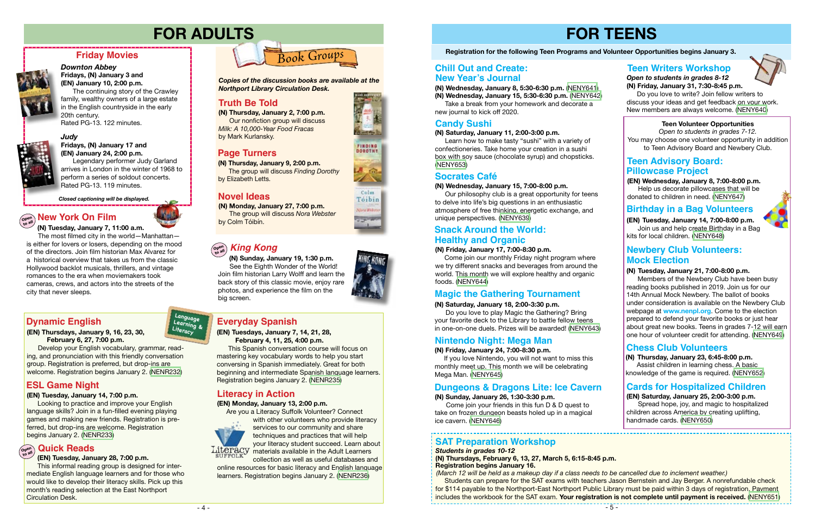# **FOR TEENS**

# **Registration for the following Teen Programs and Volunteer Opportunities begins January 3.**

 Come join our monthly Friday night program where we try different snacks and beverages from around the world. This month we will explore healthy and organic foods. [\(NENY644\)](https://search.livebrary.com/record=g1096332~S43)

# **Snack Around the World:**

*Judy*

### **Fridays, (N) January 17 and (EN) January 24, 2:00 p.m.**

Legendary performer Judy Garland arrives in London in the winter of 1968 to perform a series of soldout concerts. Rated PG-13. 119 minutes.

### **Friday Movies**



### *Downton Abbey* **Fridays, (N) January 3 and**

**(EN) January 10, 2:00 p.m.**  The continuing story of the Crawley family, wealthy owners of a large estate in the English countryside in the early 20th century. Rated PG-13. 122 minutes.



*Closed captioning will be displayed.*



# **FOR ADULTS**

**Truth Be Told (N) Thursday, January 2, 7:00 p.m.** Our nonfiction group will discuss *Milk: A 10,000-Year Food Fracas*  by Mark Kurlansky.



**(N) Monday, January 27, 7:00 p.m.** The group will discuss *Nora Webster* by Colm Tóibín.

**(N) Thursday, January 9, 2:00 p.m.** The group will discuss *Finding Dorothy* by Elizabeth Letts.

*Copies of the discussion books are available at the Northport Library Circulation Desk.* 

# **Truth Be Told**

## **Novel Ideas**

# **Page Turners**

**(EN) Wednesday, January 8, 7:00-8:00 p.m.** Help us decorate pillowcases that will be donated to children in need. ([NENY647](https://search.livebrary.com/record=g1096484~S43))

#### **(N) Thursday, January 23, 6:45-8:00 p.m.**

### **Teen Advisory Board: Pillowcase Project**

 Assist children in learning chess. A basic knowledge of the game is required. [\(NENY652\)](https://search.livebrary.com/record=g1096486~S43)

### **Chess Club Volunteers**

### **Teen Volunteer Opportunities**

*Open to students in grades 7-12.* You may choose one volunteer opportunity in addition to Teen Advisory Board and Newbery Club.

### **(N) Wednesday, January 15, 7:00-8:00 p.m.**

 Our philosophy club is a great opportunity for teens to delve into life's big questions in an enthusiastic atmosphere of free thinking, energetic exchange, and unique perspectives. [\(NENY639](https://search.livebrary.com/record=g1096334~S43))

### **Socrates Café**

### *Students in grades 10-12*

- **(N) Thursdays, February 6, 13, 27, March 5, 6:15-8:45 p.m. Registration begins January 16.**
- 

with other volunteers who provide literacy services to our community and share techniques and practices that will help your literacy student succeed. Learn about Literacy materials available in the Adult Learners

> *(March 12 will be held as a makeup day if a class needs to be cancelled due to inclement weather.)* Students can prepare for the SAT exams with teachers Jason Bernstein and Jay Berger. A nonrefundable check for \$114 payable to the Northport-East Northport Public Library must be paid within 3 days of registration. Payment includes the workbook for the SAT exam. **Your registration is not complete until payment is received.** [\(NENY651](https://search.livebrary.com/record=g1096625~S43))

### **(N) Tuesday, January 7, 11:00 a.m.**  $\left(\begin{smallmatrix} \mathsf{open} \ \mathsf{open} \end{smallmatrix}\right)$  **New York On Film**

### **SAT Preparation Workshop**

#### **(EN) Tuesdays, January 7, 14, 21, 28, February 4, 11, 25, 4:00 p.m.**

This Spanish conversation course will focus on mastering key vocabulary words to help you start conversing in Spanish immediately. Great for both beginning and intermediate Spanish language learners. Registration begins January 2. ([NENR235\)](https://search.livebrary.com/record=g1096823~S43)

# **Everyday Spanish**

# **(N) Friday, January 17, 7:00-8:30 p.m. to all** *King Kong* **Healthy and Organic**

### **(EN) Thursdays, January 9, 16, 23, 30, February 6, 27, 7:00 p.m.**

Develop your English vocabulary, grammar, reading, and pronunciation with this friendly conversation group. Registration is preferred, but drop-ins are welcome. Registration begins January 2. ([NENR232](https://search.livebrary.com/record=g1096906~S43))

# **Dynamic English**

### **(EN) Tuesday, January 14, 7:00 p.m.**

Looking to practice and improve your English language skills? Join in a fun-filled evening playing games and making new friends. Registration is preferred, but drop-ins are welcome. Registration begins January 2. ([NENR233\)](https://search.livebrary.com/record=g1096933~S43)

# **ESL Game Night**

**(N) Wednesday, January 8, 5:30-6:30 p.m.** ([NENY641](https://search.livebrary.com/record=g1096476~S43)) **(N) Wednesday, January 15, 5:30-6:30 p.m.** [\(NENY642](https://search.livebrary.com/record=g1096478~S43))

 Take a break from your homework and decorate a new journal to kick off 2020.

# **New Year's Journal Chill Out and Create:**

### **(N) Saturday, January 11, 2:00-3:00 p.m.**

 Learn how to make tasty "sushi" with a variety of confectioneries. Take home your creation in a sushi box with soy sauce (chocolate syrup) and chopsticks. ([NENY653\)](https://search.livebrary.com/record=g1096497~S43)

# **Candy Sushi**

**(EN) Tuesday, January 14, 7:00-8:00 p.m.** Join us and help create Birthday in a Bag kits for local children. ([NENY648](https://search.livebrary.com/record=g1096490~S43))

# **(EN) Saturday, January 25, 2:00-3:00 p.m.**

 Spread hope, joy, and magic to hospitalized children across America by creating uplifting, handmade cards. [\(NENY650](https://search.livebrary.com/record=g1096494~S43))

 $-5 -$ 

### **Cards for Hospitalized Children**

### **Birthday in a Bag Volunteers**

**Language Learning & Literacy**





### **(EN) Tuesday, January 28, 7:00 p.m.**

#### **Quick Reads Open to all**

 This informal reading group is designed for intermediate English language learners and for those who would like to develop their literacy skills. Pick up this month's reading selection at the East Northport Circulation Desk.

# **Literacy in Action**

### **(EN) Monday, January 13, 2:00 p.m.**

Are you a Literacy Suffolk Volunteer? Connect



collection as well as useful databases and online resources for basic literacy and English language learners. Registration begins January 2. [\(NENR236](https://search.livebrary.com/record=g1096928~S43))





### Colm. Tóibin **Ning Wide COMM**







 The most filmed city in the world—Manhattan is either for lovers or losers, depending on the mood of the directors. Join film historian Max Alvarez for a historical overview that takes us from the classic Hollywood backlot musicals, thrillers, and vintage romances to the era when moviemakers took cameras, crews, and actors into the streets of the city that never sleeps.

# **Newbery Club Volunteers: Mock Election**

 **(N) Sunday, January 19, 1:30 p.m.** See the Eighth Wonder of the World! Join film historian Larry Wolff and learn the back story of this classic movie, enjoy rare photos, and experience the film on the big screen.

# **Open**

### **(N) Saturday, January 18, 2:00-3:30 p.m.**

 Do you love to play Magic the Gathering? Bring your favorite deck to the Library to battle fellow teens in one-on-one duels. Prizes will be awarded! [\(NENY643\)](https://search.livebrary.com/record=g1096335~S43)

# **Magic the Gathering Tournament**

### **(N) Friday, January 24, 7:00-8:30 p.m.**

 If you love Nintendo, you will not want to miss this monthly meet up. This month we will be celebrating Mega Man. ([NENY645](https://search.livebrary.com/record=g1096479~S43))

# **Nintendo Night: Mega Man**

### **(N) Tuesday, January 21, 7:00-8:00 p.m.**

 Members of the Newbery Club have been busy reading books published in 2019. Join us for our 14th Annual Mock Newbery. The ballot of books under consideration is available on the Newbery Club webpage at **www.nenpl.org**. Come to the election prepared to defend your favorite books or just hear about great new books. Teens in grades 7-12 will earn one hour of volunteer credit for attending. ([NENY649\)](https://search.livebrary.com/record=g1096487~S43)

*Open to students in grades 8-12* **(N) Friday, January 31, 7:30-8:45 p.m.**

 Do you love to write? Join fellow writers to discuss your ideas and get feedback on your work. New members are always welcome. [\(NENY640\)](https://search.livebrary.com/record=g1096622~S43)

# **Teen Writers Workshop**



### **(N) Sunday, January 26, 1:30-3:30 p.m.**

 Come join your friends in this fun D & D quest to take on frozen dungeon beasts holed up in a magical ice cavern. [\(NENY646\)](https://search.livebrary.com/record=g1096952~S43)

# **Dungeons & Dragons Lite: Ice Cavern**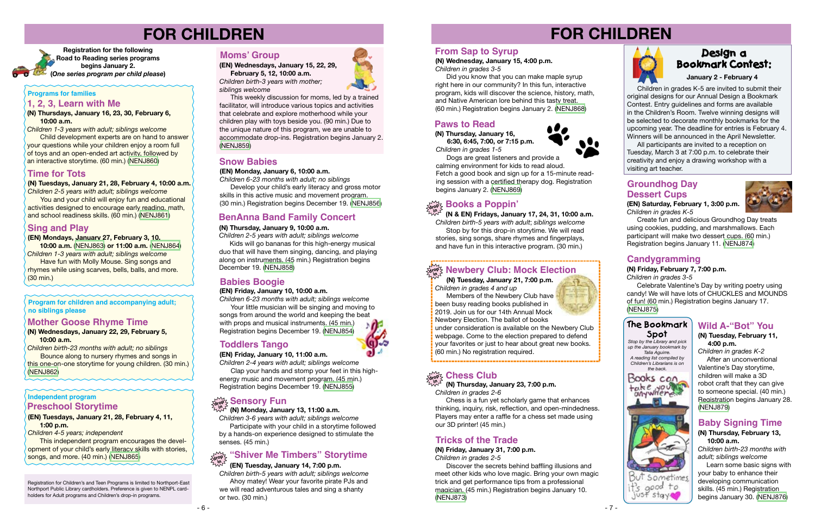

# **FOR CHILDREN**



# **FOR CHILDREN**



 **(N) Tuesday, January 21, 7:00 p.m.** *Children in grades 4 and up*

**Members of the Newbery Club have** been busy reading books published in 2019. Join us for our 14th Annual Mock Newbery Election. The ballot of books

under consideration is available on the Newbery Club webpage. Come to the election prepared to defend your favorites or just to hear about great new books. (60 min.) No registration required.

# $\lim_{\delta\rightarrow 0}$  Chess Club



**(N) Tuesdays, January 21, 28, February 4, 10:00 a.m.** 

*Children 2-5 years with adult; siblings welcome* You and your child will enjoy fun and educational activities designed to encourage early reading, math, and school readiness skills. (60 min.) ([NENJ861\)](https://search.livebrary.com/record=g1095288~S43)

### **Sing and Play**

### **(EN) Mondays, January 27, February 3, 10,**

**10:00 a.m.** [\(NENJ863\)](https://search.livebrary.com/record=g1095311~S43) **or 11:00 a.m.** [\(NENJ864\)](https://search.livebrary.com/record=g1095313~S43) *Children 1-3 years with adult; siblings welcome*

 Have fun with Molly Mouse. Sing songs and rhymes while using scarves, bells, balls, and more. (30 min.)

### **Programs for families**

**Registration for the following Road to Reading series programs begins January 2. (***One series program per child please***)** 

### **Time for Tots**

**Independent program**

#### **(EN) Tuesdays, January 21, 28, February 4, 11, 1:00 p.m.**

*Children 4-5 years; independent*

This independent program encourages the development of your child's early literacy skills with stories, songs, and more. (40 min.) ([NENJ865](https://search.livebrary.com/record=g1095265~S43))

### **Preschool Storytime**

### **Babies Boogie**

### **(EN) Friday, January 10, 10:00 a.m.**

*Children 6-23 months with adult; siblings welcome*

 Your little musician will be singing and moving to songs from around the world and keeping the beat with props and musical instruments. (45 min.) Registration begins December 19. [\(NENJ854\)](https://search.livebrary.com/record=g1095254~S43)

 **(N & EN) Fridays, January 17, 24, 31, 10:00 a.m.** *Children birth-5 years with adult*; *siblings welcome*  Stop by for this drop-in storytime. We will read

stories, sing songs, share rhymes and fingerplays, and have fun in this interactive program. (30 min.)

# $\frac{\partial \mathbf{p}}{\partial \mathbf{p}}$  Newbery Club: Mock Election

# **drop in Books a Poppin'**

## **Toddlers Tango**

**(EN) Friday, January 10, 11:00 a.m.**

*Children 2-4 years with adult; siblings welcome* Clap your hands and stomp your feet in this high-

energy music and movement program. (45 min.) Registration begins December 19. [\(NENJ855\)](https://search.livebrary.com/record=g1095257~S43)

# $\sum_{\text{div }\Phi}\sum_{\text{max}}$  **Sensory Fun**

# **Design a Bookmark Contest:**

 Children in grades K-5 are invited to submit their original designs for our Annual Design a Bookmark Contest. Entry guidelines and forms are available in the Children's Room. Twelve winning designs will be selected to decorate monthly bookmarks for the upcoming year. The deadline for entries is February 4. Winners will be announced in the April Newsletter.

 All participants are invited to a reception on Tuesday, March 3 at 7:00 p.m. to celebrate their creativity and enjoy a drawing workshop with a visiting art teacher.

**January 2 - February 4**

# **Paws to Read**

 **(N) Thursday, January 16, 6:30, 6:45, 7:00, or 7:15 p.m.** *Children in grades 1-5*

 Dogs are great listeners and provide a calming environment for kids to read aloud. Fetch a good book and sign up for a 15-minute reading session with a certified therapy dog. Registration begins January 2. [\(NENJ869\)](https://search.livebrary.com/record=g1095727~S43)

### **From Sap to Syrup**

# **(N) Wednesday, January 15, 4:00 p.m.**

*Children in grades 3-5*

 Did you know that you can make maple syrup right here in our community? In this fun, interactive program, kids will discover the science, history, math, and Native American lore behind this tasty treat. (60 min.) Registration begins January 2. ([NENJ868](https://search.livebrary.com/record=g1095980~S43))

### **Tricks of the Trade**

**(N) Friday, January 31, 7:00 p.m.** *Children in grades 2-5*

 Discover the secrets behind baffling illusions and meet other kids who love magic. Bring your own magic trick and get performance tips from a professional magician. (45 min.) Registration begins January 10. [\(NENJ873\)](https://search.livebrary.com/record=g1096006~S43)

**Program for children and accompanying adult; no siblings please** 

### **(N) Wednesdays, January 22, 29, February 5, 10:00 a.m.**

*Children birth-23 months with adult; no siblings* **Bounce along to nursery rhymes and songs in** this one-on-one storytime for young children. (30 min.) ([NENJ862](https://search.livebrary.com/record=g1095289~S43))

### **Mother Goose Rhyme Time**

**(N) Thursdays, January 16, 23, 30, February 6, 10:00 a.m.**

*Children 1-3 years with adult; siblings welcome*

 Child development experts are on hand to answer your questions while your children enjoy a room full of toys and an open-ended art activity, followed by an interactive storytime. (60 min.) [\(NENJ860](https://search.livebrary.com/record=g1095286~S43))

### **1, 2, 3, Learn with Me**

**(EN) Wednesdays, January 15, 22, 29, February 5, 12, 10:00 a.m.**

*Children birth-3 years with mother; siblings welcome*

This weekly discussion for moms, led by a trained facilitator, will introduce various topics and activities that celebrate and explore motherhood while your children play with toys beside you. (90 min.) Due to the unique nature of this program, we are unable to accommodate drop-ins. Registration begins January 2. [\(NENJ859\)](https://search.livebrary.com/record=g1095250~S43)

### **Moms' Group**

**(EN) Monday, January 6, 10:00 a.m.**

*Children 6-23 months with adult; no siblings*

 Develop your child's early literacy and gross motor skills in this active music and movement program. (30 min.) Registration begins December 19. [\(NENJ856\)](https://search.livebrary.com/record=g1095259~S43)

### **Snow Babies**

### **(N) Thursday, January 9, 10:00 a.m.**

*Children 2-5 years with adult; siblings welcome*

 Kids will go bananas for this high-energy musical duo that will have them singing, dancing, and playing along on instruments. (45 min.) Registration begins December 19. ([NENJ858](https://search.livebrary.com/record=g1095975~S43))

## **BenAnna Band Family Concert**

### **(N) Monday, January 13, 11:00 a.m.**

*Children 3-6 years with adult; siblings welcome* Participate with your child in a storytime followed by a hands-on experience designed to stimulate the senses. (45 min.)

# **"Shiver Me Timbers" Storytime**

*Children birth-5 years with adult; siblings welcome* Ahoy matey! Wear your favorite pirate PJs and we will read adventurous tales and sing a shanty or two. (30 min.)



#### **(EN) Tuesday, January 14, 7:00 p.m. in**

Registration for Children's and Teen Programs is limited to Northport-East Northport Public Library cardholders. Preference is given to NENPL cardholders for Adult programs and Children's drop-in programs.

 **(N) Thursday, January 23, 7:00 p.m.** *Children in grades 2-6*

 Chess is a fun yet scholarly game that enhances thinking, inquiry, risk, reflection, and open-mindedness. Players may enter a raffle for a chess set made using our 3D printer! (45 min.)

**(EN) Saturday, February 1, 3:00 p.m.** *Children in grades K-5*



 Create fun and delicious Groundhog Day treats using cookies, pudding, and marshmallows. Each participant will make two dessert cups. (60 min.) Registration begins January 11. [\(NENJ874\)](https://search.livebrary.com/record=g1093983~S43)

# **Candygramming**

### **(N) Friday, February 7, 7:00 p.m.**

*Children in grades 3-5*

 Celebrate Valentine's Day by writing poetry using candy! We will have lots of CHUCKLES and MOUNDS of fun! (60 min.) Registration begins January 17. ([NENJ875](https://search.livebrary.com/record=g1095900~S43))

# **Wild A-"Bot" You**

# **Groundhog Day Dessert Cups**

### **(N) Tuesday, February 11, 4:00 p.m.**

*Children in grades K-2* After an unconventional Valentine's Day storytime, children will make a 3D robot craft that they can give to someone special. (40 min.) Registration begins January 28. [\(NENJ879\)](https://search.livebrary.com/record=g1096211~S43)

# **Baby Signing Time**

### **(N) Thursday, February 13, 10:00 a.m.**

*Children birth-23 months with adult; siblings welcome*

 Learn some basic signs with your baby to enhance their developing communication skills. (45 min.) Registration begins January 30. [\(NENJ876\)](https://search.livebrary.com/record=g1095976~S43)